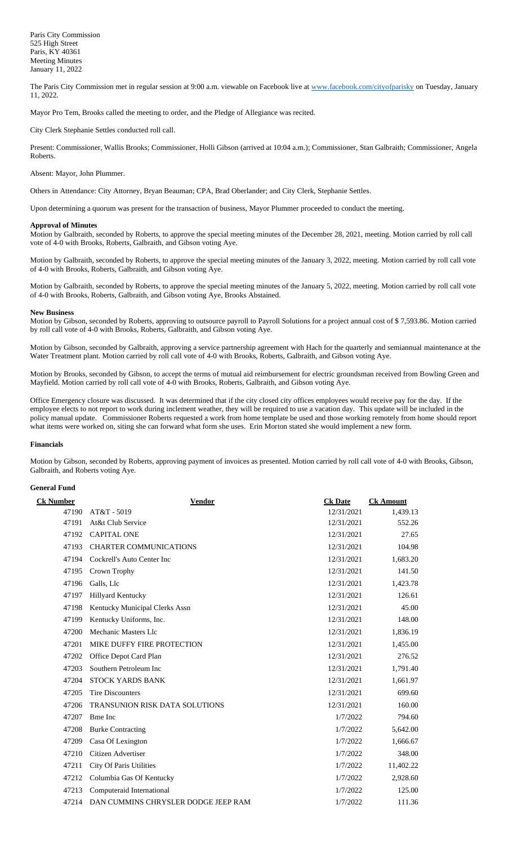The Paris City Commission met in regular session at 9:00 a.m. viewable on Facebook live a[t www.facebook.com/cityofparisky](http://www.facebook.com/cityofparisky) on Tuesday, January 11, 2022.

Mayor Pro Tem, Brooks called the meeting to order, and the Pledge of Allegiance was recited.

City Clerk Stephanie Settles conducted roll call.

Present: Commissioner, Wallis Brooks; Commissioner, Holli Gibson (arrived at 10:04 a.m.); Commissioner, Stan Galbraith; Commissioner, Angela Roberts.

### Absent: Mayor, John Plummer.

Others in Attendance: City Attorney, Bryan Beauman; CPA, Brad Oberlander; and City Clerk, Stephanie Settles.

Upon determining a quorum was present for the transaction of business, Mayor Plummer proceeded to conduct the meeting.

### **Approval of Minutes**

Motion by Galbraith, seconded by Roberts, to approve the special meeting minutes of the December 28, 2021, meeting. Motion carried by roll call vote of 4-0 with Brooks, Roberts, Galbraith, and Gibson voting Aye.

Motion by Galbraith, seconded by Roberts, to approve the special meeting minutes of the January 3, 2022, meeting. Motion carried by roll call vote of 4-0 with Brooks, Roberts, Galbraith, and Gibson voting Aye.

Motion by Galbraith, seconded by Roberts, to approve the special meeting minutes of the January 5, 2022, meeting. Motion carried by roll call vote of 4-0 with Brooks, Roberts, Galbraith, and Gibson voting Aye, Brooks Abstained.

#### **New Business**

Motion by Gibson, seconded by Roberts, approving to outsource payroll to Payroll Solutions for a project annual cost of \$ 7,593.86. Motion carried by roll call vote of 4-0 with Brooks, Roberts, Galbraith, and Gibson voting Aye.

Motion by Gibson, seconded by Galbraith, approving a service partnership agreement with Hach for the quarterly and semiannual maintenance at the Water Treatment plant. Motion carried by roll call vote of 4-0 with Brooks, Roberts, Galbraith, and Gibson voting Aye.

Motion by Brooks, seconded by Gibson, to accept the terms of mutual aid reimbursement for electric groundsman received from Bowling Green and Mayfield. Motion carried by roll call vote of 4-0 with Brooks, Roberts, Galbraith, and Gibson voting Aye.

Office Emergency closure was discussed. It was determined that if the city closed city offices employees would receive pay for the day. If the employee elects to not report to work during inclement weather, they will be required to use a vacation day. This update will be included in the policy manual update. Commissioner Roberts requested a work from home template be used and those working remotely from home should report what items were worked on, siting she can forward what form she uses. Erin Morton stated she would implement a new form.

### **Financials**

Motion by Gibson, seconded by Roberts, approving payment of invoices as presented. Motion carried by roll call vote of 4-0 with Brooks, Gibson, Galbraith, and Roberts voting Aye.

## **General Fund**

| <b>Ck Number</b> | <b>Vendor</b>                       | <b>Ck Date</b> | <b>Ck Amount</b> |
|------------------|-------------------------------------|----------------|------------------|
| 47190            | AT&T - 5019                         | 12/31/2021     | 1,439.13         |
| 47191            | At&t Club Service                   | 12/31/2021     | 552.26           |
| 47192            | <b>CAPITAL ONE</b>                  | 12/31/2021     | 27.65            |
| 47193            | <b>CHARTER COMMUNICATIONS</b>       | 12/31/2021     | 104.98           |
| 47194            | Cockrell's Auto Center Inc          | 12/31/2021     | 1,683.20         |
| 47195            | Crown Trophy                        | 12/31/2021     | 141.50           |
| 47196            | Galls, Llc                          | 12/31/2021     | 1,423.78         |
| 47197            | Hillyard Kentucky                   | 12/31/2021     | 126.61           |
| 47198            | Kentucky Municipal Clerks Assn      | 12/31/2021     | 45.00            |
| 47199            | Kentucky Uniforms, Inc.             | 12/31/2021     | 148.00           |
| 47200            | Mechanic Masters Llc                | 12/31/2021     | 1,836.19         |
| 47201            | MIKE DUFFY FIRE PROTECTION          | 12/31/2021     | 1,455.00         |
| 47202            | Office Depot Card Plan              | 12/31/2021     | 276.52           |
| 47203            | Southern Petroleum Inc.             | 12/31/2021     | 1,791.40         |
| 47204            | STOCK YARDS BANK                    | 12/31/2021     | 1,661.97         |
| 47205            | <b>Tire Discounters</b>             | 12/31/2021     | 699.60           |
| 47206            | TRANSUNION RISK DATA SOLUTIONS      | 12/31/2021     | 160.00           |
| 47207            | <b>Bme</b> Inc                      | 1/7/2022       | 794.60           |
| 47208            | <b>Burke Contracting</b>            | 1/7/2022       | 5,642.00         |
| 47209            | Casa Of Lexington                   | 1/7/2022       | 1,666.67         |
| 47210            | Citizen Advertiser                  | 1/7/2022       | 348.00           |
| 47211            | City Of Paris Utilities             | 1/7/2022       | 11,402.22        |
| 47212            | Columbia Gas Of Kentucky            | 1/7/2022       | 2,928.60         |
| 47213            | Computeraid International           | 1/7/2022       | 125.00           |
| 47214            | DAN CUMMINS CHRYSLER DODGE JEEP RAM | 1/7/2022       | 111.36           |
|                  |                                     |                |                  |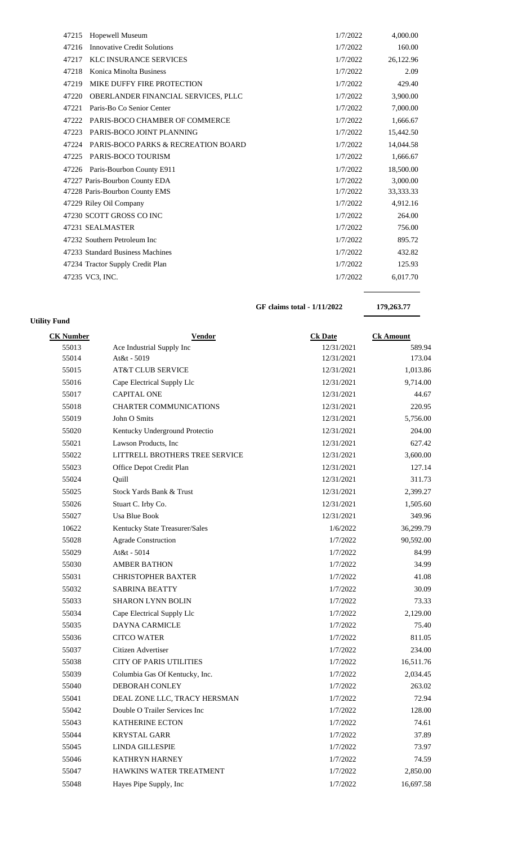| 47215<br><b>Hopewell Museum</b>                         | 1/7/2022 | 4,000.00  |
|---------------------------------------------------------|----------|-----------|
| <b>Innovative Credit Solutions</b><br>47216             | 1/7/2022 | 160.00    |
| 47217<br><b>KLC INSURANCE SERVICES</b>                  | 1/7/2022 | 26,122.96 |
| 47218<br>Konica Minolta Business                        | 1/7/2022 | 2.09      |
| 47219<br>MIKE DUFFY FIRE PROTECTION                     | 1/7/2022 | 429.40    |
| OBERLANDER FINANCIAL SERVICES, PLLC<br>47220            | 1/7/2022 | 3,900.00  |
| Paris-Bo Co Senior Center<br>47221                      | 1/7/2022 | 7,000.00  |
| 47222<br>PARIS-BOCO CHAMBER OF COMMERCE                 | 1/7/2022 | 1,666.67  |
| PARIS-BOCO JOINT PLANNING<br>47223                      | 1/7/2022 | 15,442.50 |
| <b>PARIS-BOCO PARKS &amp; RECREATION BOARD</b><br>47224 | 1/7/2022 | 14,044.58 |
| PARIS-BOCO TOURISM<br>47225                             | 1/7/2022 | 1,666.67  |
| Paris-Bourbon County E911<br>47226                      | 1/7/2022 | 18,500.00 |
| 47227 Paris-Bourbon County EDA                          | 1/7/2022 | 3,000.00  |
| 47228 Paris-Bourbon County EMS                          | 1/7/2022 | 33,333.33 |
| 47229 Riley Oil Company                                 | 1/7/2022 | 4,912.16  |
| 47230 SCOTT GROSS CO INC                                | 1/7/2022 | 264.00    |
| 47231 SEALMASTER                                        | 1/7/2022 | 756.00    |
| 47232 Southern Petroleum Inc                            | 1/7/2022 | 895.72    |
| 47233 Standard Business Machines                        | 1/7/2022 | 432.82    |
| 47234 Tractor Supply Credit Plan                        |          | 125.93    |
| 47235 VC3, INC.                                         | 1/7/2022 | 6,017.70  |
|                                                         |          |           |

**GF claims total - 1/11/2022 179,263.77**

| <b>Utility Fund</b> |                                |                |                  |  |  |
|---------------------|--------------------------------|----------------|------------------|--|--|
| <b>CK Number</b>    | <b>Vendor</b>                  | <b>Ck Date</b> | <b>Ck Amount</b> |  |  |
| 55013               | Ace Industrial Supply Inc      | 12/31/2021     | 589.94           |  |  |
| 55014               | At&t - 5019                    | 12/31/2021     | 173.04           |  |  |
| 55015               | <b>AT&amp;T CLUB SERVICE</b>   | 12/31/2021     | 1,013.86         |  |  |
| 55016               | Cape Electrical Supply Llc     | 12/31/2021     | 9,714.00         |  |  |
| 55017               | <b>CAPITAL ONE</b>             | 12/31/2021     | 44.67            |  |  |
| 55018               | <b>CHARTER COMMUNICATIONS</b>  | 12/31/2021     | 220.95           |  |  |
| 55019               | John O Smits                   | 12/31/2021     | 5,756.00         |  |  |
| 55020               | Kentucky Underground Protectio | 12/31/2021     | 204.00           |  |  |
| 55021               | Lawson Products, Inc           | 12/31/2021     | 627.42           |  |  |
| 55022               | LITTRELL BROTHERS TREE SERVICE | 12/31/2021     | 3,600.00         |  |  |
| 55023               | Office Depot Credit Plan       | 12/31/2021     | 127.14           |  |  |
| 55024               | Quill                          | 12/31/2021     | 311.73           |  |  |
| 55025               | Stock Yards Bank & Trust       | 12/31/2021     | 2,399.27         |  |  |
| 55026               | Stuart C. Irby Co.             | 12/31/2021     | 1,505.60         |  |  |
| 55027               | <b>Usa Blue Book</b>           | 12/31/2021     | 349.96           |  |  |
| 10622               | Kentucky State Treasurer/Sales | 1/6/2022       | 36,299.79        |  |  |
| 55028               | <b>Agrade Construction</b>     | 1/7/2022       | 90,592.00        |  |  |
| 55029               | At&t - 5014                    | 1/7/2022       | 84.99            |  |  |
| 55030               | <b>AMBER BATHON</b>            | 1/7/2022       | 34.99            |  |  |
| 55031               | <b>CHRISTOPHER BAXTER</b>      | 1/7/2022       | 41.08            |  |  |
| 55032               | <b>SABRINA BEATTY</b>          | 1/7/2022       | 30.09            |  |  |
| 55033               | <b>SHARON LYNN BOLIN</b>       | 1/7/2022       | 73.33            |  |  |
| 55034               | Cape Electrical Supply Llc     | 1/7/2022       | 2,129.00         |  |  |
| 55035               | <b>DAYNA CARMICLE</b>          | 1/7/2022       | 75.40            |  |  |
| 55036               | <b>CITCO WATER</b>             | 1/7/2022       | 811.05           |  |  |
| 55037               | Citizen Advertiser             | 1/7/2022       | 234.00           |  |  |
| 55038               | <b>CITY OF PARIS UTILITIES</b> | 1/7/2022       | 16,511.76        |  |  |
| 55039               | Columbia Gas Of Kentucky, Inc. | 1/7/2022       | 2,034.45         |  |  |
| 55040               | DEBORAH CONLEY                 | 1/7/2022       | 263.02           |  |  |
| 55041               | DEAL ZONE LLC, TRACY HERSMAN   | 1/7/2022       | 72.94            |  |  |
| 55042               | Double O Trailer Services Inc  | 1/7/2022       | 128.00           |  |  |
| 55043               | KATHERINE ECTON                | 1/7/2022       | 74.61            |  |  |
| 55044               | <b>KRYSTAL GARR</b>            | 1/7/2022       | 37.89            |  |  |
| 55045               | <b>LINDA GILLESPIE</b>         | 1/7/2022       | 73.97            |  |  |
| 55046               | KATHRYN HARNEY                 | 1/7/2022       | 74.59            |  |  |
| 55047               | HAWKINS WATER TREATMENT        | 1/7/2022       | 2,850.00         |  |  |
| 55048               | Hayes Pipe Supply, Inc         | 1/7/2022       | 16,697.58        |  |  |
|                     |                                |                |                  |  |  |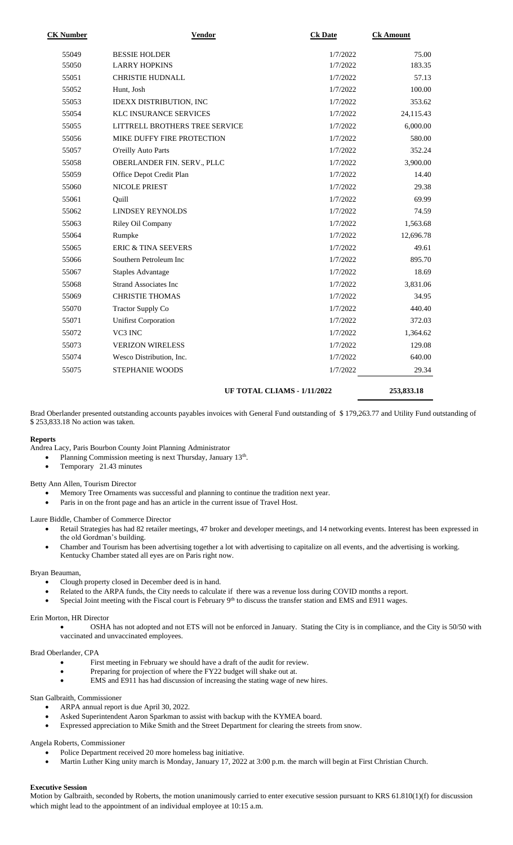| <b>CK Number</b> | <b>Vendor</b>                  | <b>Ck Date</b>              | <b>Ck Amount</b> |
|------------------|--------------------------------|-----------------------------|------------------|
| 55049            | <b>BESSIE HOLDER</b>           | 1/7/2022                    | 75.00            |
| 55050            | <b>LARRY HOPKINS</b>           | 1/7/2022                    | 183.35           |
| 55051            | <b>CHRISTIE HUDNALL</b>        | 1/7/2022                    | 57.13            |
| 55052            | Hunt, Josh                     | 1/7/2022                    | 100.00           |
| 55053            | IDEXX DISTRIBUTION, INC        | 1/7/2022                    | 353.62           |
| 55054            | KLC INSURANCE SERVICES         | 1/7/2022                    | 24,115.43        |
| 55055            | LITTRELL BROTHERS TREE SERVICE | 1/7/2022                    | 6,000.00         |
| 55056            | MIKE DUFFY FIRE PROTECTION     | 1/7/2022                    | 580.00           |
| 55057            | O'reilly Auto Parts            | 1/7/2022                    | 352.24           |
| 55058            | OBERLANDER FIN. SERV., PLLC    | 1/7/2022                    | 3,900.00         |
| 55059            | Office Depot Credit Plan       | 1/7/2022                    | 14.40            |
| 55060            | <b>NICOLE PRIEST</b>           | 1/7/2022                    | 29.38            |
| 55061            | Ouill                          | 1/7/2022                    | 69.99            |
| 55062            | <b>LINDSEY REYNOLDS</b>        | 1/7/2022                    | 74.59            |
| 55063            | Riley Oil Company              | 1/7/2022                    | 1,563.68         |
| 55064            | Rumpke                         | 1/7/2022                    | 12,696.78        |
| 55065            | <b>ERIC &amp; TINA SEEVERS</b> | 1/7/2022                    | 49.61            |
| 55066            | Southern Petroleum Inc         | 1/7/2022                    | 895.70           |
| 55067            | <b>Staples Advantage</b>       | 1/7/2022                    | 18.69            |
| 55068            | <b>Strand Associates Inc</b>   | 1/7/2022                    | 3,831.06         |
| 55069            | <b>CHRISTIE THOMAS</b>         | 1/7/2022                    | 34.95            |
| 55070            | <b>Tractor Supply Co</b>       | 1/7/2022                    | 440.40           |
| 55071            | <b>Unifirst Corporation</b>    | 1/7/2022                    | 372.03           |
| 55072            | VC3 INC                        | 1/7/2022                    | 1,364.62         |
| 55073            | <b>VERIZON WIRELESS</b>        | 1/7/2022                    | 129.08           |
| 55074            | Wesco Distribution, Inc.       | 1/7/2022                    | 640.00           |
| 55075            | STEPHANIE WOODS                | 1/7/2022                    | 29.34            |
|                  |                                | UF TOTAL CLIAMS - 1/11/2022 | 253,833.18       |

Brad Oberlander presented outstanding accounts payables invoices with General Fund outstanding of \$ 179,263.77 and Utility Fund outstanding of \$ 253,833.18 No action was taken.

### **Reports**

Andrea Lacy, Paris Bourbon County Joint Planning Administrator

- Planning Commission meeting is next Thursday, January 13<sup>th</sup>.
- Temporary 21.43 minutes

Betty Ann Allen, Tourism Director

- Memory Tree Ornaments was successful and planning to continue the tradition next year.
- Paris in on the front page and has an article in the current issue of Travel Host.

Laure Biddle, Chamber of Commerce Director

- Retail Strategies has had 82 retailer meetings, 47 broker and developer meetings, and 14 networking events. Interest has been expressed in the old Gordman's building.
- Chamber and Tourism has been advertising together a lot with advertising to capitalize on all events, and the advertising is working. Kentucky Chamber stated all eyes are on Paris right now.

### Bryan Beauman,

- Clough property closed in December deed is in hand.
- Related to the ARPA funds, the City needs to calculate if there was a revenue loss during COVID months a report.
- Special Joint meeting with the Fiscal court is February  $9<sup>th</sup>$  to discuss the transfer station and EMS and E911 wages.

## Erin Morton, HR Director

• OSHA has not adopted and not ETS will not be enforced in January. Stating the City is in compliance, and the City is 50/50 with vaccinated and unvaccinated employees.

## Brad Oberlander, CPA

- First meeting in February we should have a draft of the audit for review.
- Preparing for projection of where the FY22 budget will shake out at.
- EMS and E911 has had discussion of increasing the stating wage of new hires.

## Stan Galbraith, Commissioner

- ARPA annual report is due April 30, 2022.
- Asked Superintendent Aaron Sparkman to assist with backup with the KYMEA board.
- Expressed appreciation to Mike Smith and the Street Department for clearing the streets from snow.

## Angela Roberts, Commissioner

- Police Department received 20 more homeless bag initiative.
- Martin Luther King unity march is Monday, January 17, 2022 at 3:00 p.m. the march will begin at First Christian Church.

### **Executive Session**

Motion by Galbraith, seconded by Roberts, the motion unanimously carried to enter executive session pursuant to KRS 61.810(1)(f) for discussion which might lead to the appointment of an individual employee at 10:15 a.m.